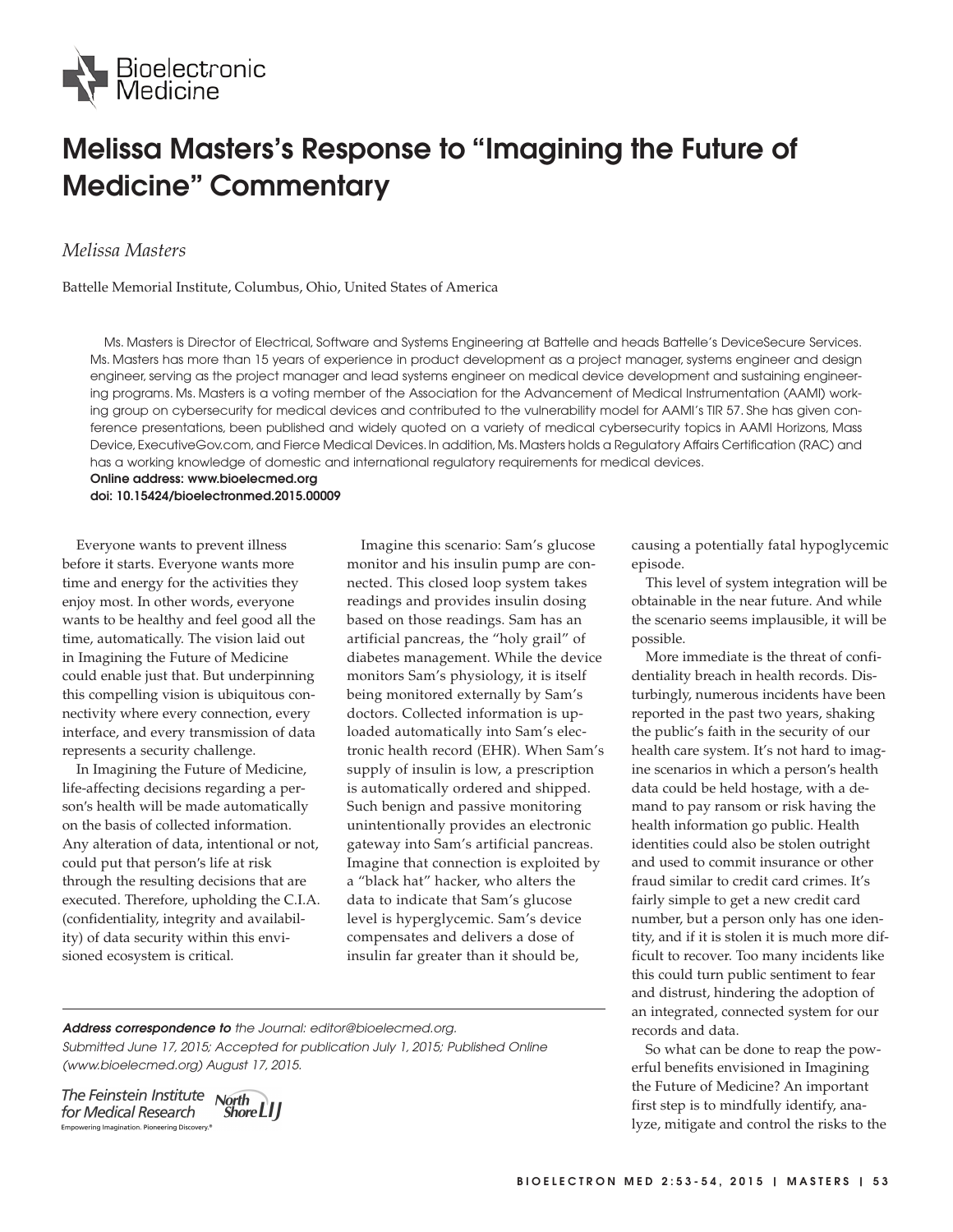

## **Melissa Masters's Response to "Imagining the Future of Medicine" Commentary**

## *Melissa Masters*

Battelle Memorial Institute, Columbus, Ohio, United States of America

Ms. Masters is Director of Electrical, Software and Systems Engineering at Battelle and heads Battelle's DeviceSecure Services. Ms. Masters has more than 15 years of experience in product development as a project manager, systems engineer and design engineer, serving as the project manager and lead systems engineer on medical device development and sustaining engineering programs. Ms. Masters is a voting member of the Association for the Advancement of Medical Instrumentation (AAMI) working group on cybersecurity for medical devices and contributed to the vulnerability model for AAMI's TIR 57. She has given conference presentations, been published and widely quoted on a variety of medical cybersecurity topics in AAMI Horizons, Mass Device, ExecutiveGov.com, and Fierce Medical Devices. In addition, Ms. Masters holds a Regulatory Affairs Certification (RAC) and has a working knowledge of domestic and international regulatory requirements for medical devices.

**Online address: www.bioelecmed.org doi: 10.15424/bioelectronmed.2015.00009**

Everyone wants to prevent illness before it starts. Everyone wants more time and energy for the activities they enjoy most. In other words, everyone wants to be healthy and feel good all the time, automatically. The vision laid out in Imagining the Future of Medicine could enable just that. But underpinning this compelling vision is ubiquitous connectivity where every connection, every interface, and every transmission of data represents a security challenge.

In Imagining the Future of Medicine, life-affecting decisions regarding a person′s health will be made automatically on the basis of collected information. Any alteration of data, intentional or not, could put that person′s life at risk through the resulting decisions that are executed. Therefore, upholding the C.I.A. (confidentiality, integrity and availability) of data security within this envisioned ecosystem is critical.

Imagine this scenario: Sam's glucose monitor and his insulin pump are connected. This closed loop system takes readings and provides insulin dosing based on those readings. Sam has an artificial pancreas, the "holy grail" of diabetes management. While the device monitors Sam's physiology, it is itself being monitored externally by Sam's doctors. Collected information is uploaded automatically into Sam's electronic health record (EHR). When Sam's supply of insulin is low, a prescription is automatically ordered and shipped. Such benign and passive monitoring unintentionally provides an electronic gateway into Sam's artificial pancreas. Imagine that connection is exploited by a "black hat" hacker, who alters the data to indicate that Sam's glucose level is hyperglycemic. Sam's device compensates and delivers a dose of insulin far greater than it should be,

**Address correspondence to** the Journal: editor@bioelecmed.org. Submitted June 17, 2015; Accepted for publication July 1, 2015; Published Online (www.bioelecmed.org) August 17, 2015.

The Feinstein Institute North for Medical Research Empowering Imagination. Pioneering Discovery.<sup>4</sup>

"Shore **LI** J

causing a potentially fatal hypoglycemic episode.

This level of system integration will be obtainable in the near future. And while the scenario seems implausible, it will be possible.

More immediate is the threat of confidentiality breach in health records. Disturbingly, numerous incidents have been reported in the past two years, shaking the public's faith in the security of our health care system. It's not hard to imagine scenarios in which a person′s health data could be held hostage, with a demand to pay ransom or risk having the health information go public. Health identities could also be stolen outright and used to commit insurance or other fraud similar to credit card crimes. It's fairly simple to get a new credit card number, but a person only has one identity, and if it is stolen it is much more difficult to recover. Too many incidents like this could turn public sentiment to fear and distrust, hindering the adoption of an integrated, connected system for our records and data.

So what can be done to reap the powerful benefits envisioned in Imagining the Future of Medicine? An important first step is to mindfully identify, analyze, mitigate and control the risks to the